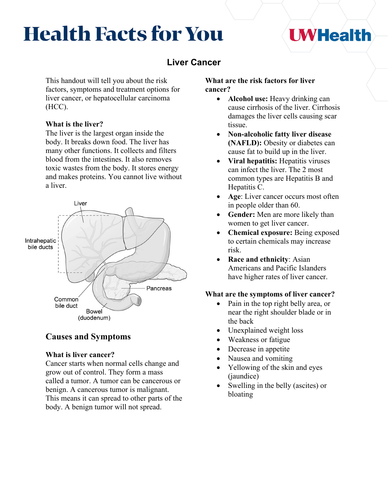# **Health Facts for You**

# **Liver Cancer**

This handout will tell you about the risk factors, symptoms and treatment options for liver cancer, or hepatocellular carcinoma (HCC).

## **What is the liver?**

The liver is the largest organ inside the body. It breaks down food. The liver has many other functions. It collects and filters blood from the intestines. It also removes toxic wastes from the body. It stores energy and makes proteins. You cannot live without a liver.



## **Causes and Symptoms**

## **What is liver cancer?**

Cancer starts when normal cells change and grow out of control. They form a mass called a tumor. A tumor can be cancerous or benign. A cancerous tumor is malignant. This means it can spread to other parts of the body. A benign tumor will not spread.

#### **What are the risk factors for liver cancer?**

• **Alcohol use:** Heavy drinking can cause cirrhosis of the liver. Cirrhosis damages the liver cells causing scar tissue.

**I WHealth** 

- **Non-alcoholic fatty liver disease (NAFLD):** Obesity or diabetes can cause fat to build up in the liver.
- **Viral hepatitis:** Hepatitis viruses can infect the liver. The 2 most common types are Hepatitis B and Hepatitis C.
- **Age:** Liver cancer occurs most often in people older than 60.
- **Gender:** Men are more likely than women to get liver cancer.
- **Chemical exposure:** Being exposed to certain chemicals may increase risk.
- **Race and ethnicity**: Asian Americans and Pacific Islanders have higher rates of liver cancer.

## **What are the symptoms of liver cancer?**

- Pain in the top right belly area, or near the right shoulder blade or in the back
- Unexplained weight loss
- Weakness or fatigue
- Decrease in appetite
- Nausea and vomiting
- Yellowing of the skin and eyes (jaundice)
- Swelling in the belly (ascites) or bloating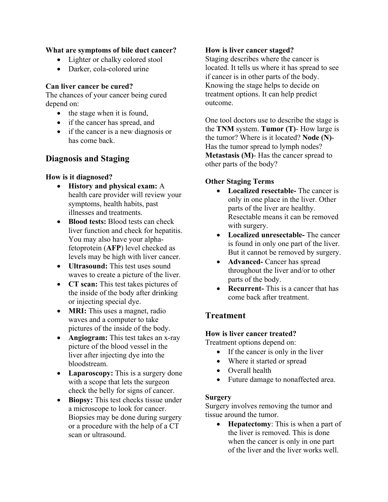## **What are symptoms of bile duct cancer?**

- Lighter or chalky colored stool
- Darker, cola-colored urine

## **Can liver cancer be cured?**

The chances of your cancer being cured depend on:

- the stage when it is found,
- if the cancer has spread, and
- if the cancer is a new diagnosis or has come back.

## **Diagnosis and Staging**

## **How is it diagnosed?**

- **History and physical exam:** A health care provider will review your symptoms, health habits, past illnesses and treatments.
- **Blood tests:** Blood tests can check liver function and check for hepatitis. You may also have your alphafetoprotein (**AFP**) level checked as levels may be high with liver cancer.
- **Ultrasound:** This test uses sound waves to create a picture of the liver.
- **CT scan:** This test takes pictures of the inside of the body after drinking or injecting special dye.
- **MRI:** This uses a magnet, radio waves and a computer to take pictures of the inside of the body.
- **Angiogram:** This test takes an x-ray picture of the blood vessel in the liver after injecting dye into the bloodstream.
- **Laparoscopy:** This is a surgery done with a scope that lets the surgeon check the belly for signs of cancer.
- **Biopsy:** This test checks tissue under a microscope to look for cancer. Biopsies may be done during surgery or a procedure with the help of a CT scan or ultrasound.

## **How is liver cancer staged?**

Staging describes where the cancer is located. It tells us where it has spread to see if cancer is in other parts of the body. Knowing the stage helps to decide on treatment options. It can help predict outcome.

One tool doctors use to describe the stage is the **TNM** system. **Tumor (T)**- How large is the tumor? Where is it located? **Node (N)**- Has the tumor spread to lymph nodes? **Metastasis (M)**- Has the cancer spread to other parts of the body?

## **Other Staging Terms**

- **Localized resectable-** The cancer is only in one place in the liver. Other parts of the liver are healthy. Resectable means it can be removed with surgery.
- **Localized unresectable-** The cancer is found in only one part of the liver. But it cannot be removed by surgery.
- **Advanced-** Cancer has spread throughout the liver and/or to other parts of the body.
- **Recurrent-** This is a cancer that has come back after treatment.

# **Treatment**

## **How is liver cancer treated?**

Treatment options depend on:

- If the cancer is only in the liver
- Where it started or spread
- Overall health
- Future damage to nonaffected area.

## **Surgery**

Surgery involves removing the tumor and tissue around the tumor.

• **Hepatectomy**: This is when a part of the liver is removed. This is done when the cancer is only in one part of the liver and the liver works well.